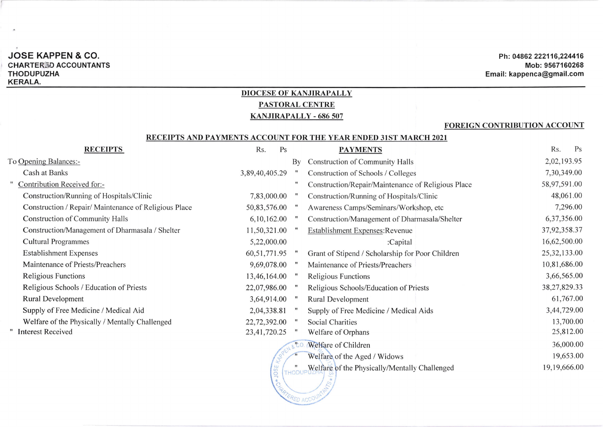## JOSE KAPPEN & CO. CHARTERID ACCOUNTANTS THODUPUZHA KERALA.

### Ph: 04862 222116,224416 Mob: 9567160268 Email: kappenca@gmail.com

# DIOCESE OF KANJIRAPALLY PASTORAL CENTRE

# KANJIRAPALLY - 686 507

#### FOREIGN CONTRIBUTION ACCOUNT

#### RECEIPTS AND PAYMENTS ACCOUNT FOR THE YEAR ENDED 31ST MARCH 2021

| <b>RECEIPTS</b>                                       | Rs.             | Ps | <b>PAYMENTS</b>                                    | Rs.<br>Ps      |
|-------------------------------------------------------|-----------------|----|----------------------------------------------------|----------------|
| To Opening Balances:-                                 |                 | By | <b>Construction of Community Halls</b>             | 2,02,193.95    |
| Cash at Banks                                         | 3,89,40,405.29  |    | Construction of Schools / Colleges                 | 7,30,349.00    |
| Contribution Received for:-                           |                 |    | Construction/Repair/Maintenance of Religious Place | 58,97,591.00   |
| Construction/Running of Hospitals/Clinic              | 7,83,000.00     |    | Construction/Running of Hospitals/Clinic           | 48,061.00      |
| Construction / Repair/ Maintenance of Religious Place | 50,83,576.00    |    | Awareness Camps/Seminars/Workshop, etc             | 7,296.00       |
| <b>Construction of Community Halls</b>                | 6, 10, 162.00   |    | Construction/Management of Dharmasala/Shelter      | 6,37,356.00    |
| Construction/Management of Dharmasala / Shelter       | 11,50,321.00    |    | Establishment Expenses: Revenue                    | 37,92,358.37   |
| <b>Cultural Programmes</b>                            | 5,22,000.00     |    | :Capital                                           | 16,62,500.00   |
| <b>Establishment Expenses</b>                         | 60, 51, 771. 95 |    | Grant of Stipend / Scholarship for Poor Children   | 25, 32, 133.00 |
| Maintenance of Priests/Preachers                      | 9,69,078.00     |    | Maintenance of Priests/Preachers                   | 10,81,686.00   |
| <b>Religious Functions</b>                            | 13,46,164.00    |    | Religious Functions                                | 3,66,565.00    |
| Religious Schools / Education of Priests              | 22,07,986.00    |    | Religious Schools/Education of Priests             | 38,27,829.33   |
| <b>Rural Development</b>                              | 3,64,914.00     |    | Rural Development                                  | 61,767.00      |
| Supply of Free Medicine / Medical Aid                 | 2,04,338.81     |    | Supply of Free Medicine / Medical Aids             | 3,44,729.00    |
| Welfare of the Physically / Mentally Challenged       | 22,72,392.00    |    | <b>Social Charities</b>                            | 13,700.00      |
| <b>Interest Received</b>                              | 23,41,720.25    |    | Welfare of Orphans                                 | 25,812.00      |
|                                                       |                 |    | Welfare of Children                                | 36,000.00      |
|                                                       |                 |    | Welfare of the Aged / Widows                       | 19,653.00      |
|                                                       | $\overline{L}$  |    | Welfare of the Physically/Mentally Challenged      | 19,19,666.00   |

**ACCE** 

**ED ACCC** 

Welfare of the Physically/Mentally Challenged **the Contract of Street**